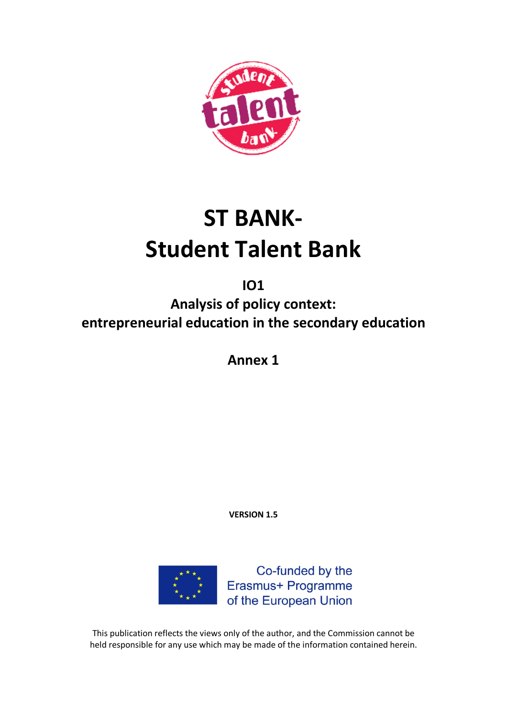

# **ST BANK-Student Talent Bank**

**IO1**

**Analysis of policy context: entrepreneurial education in the secondary education**

**Annex 1**

**VERSION 1.5**



This publication reflects the views only of the author, and the Commission cannot be held responsible for any use which may be made of the information contained herein.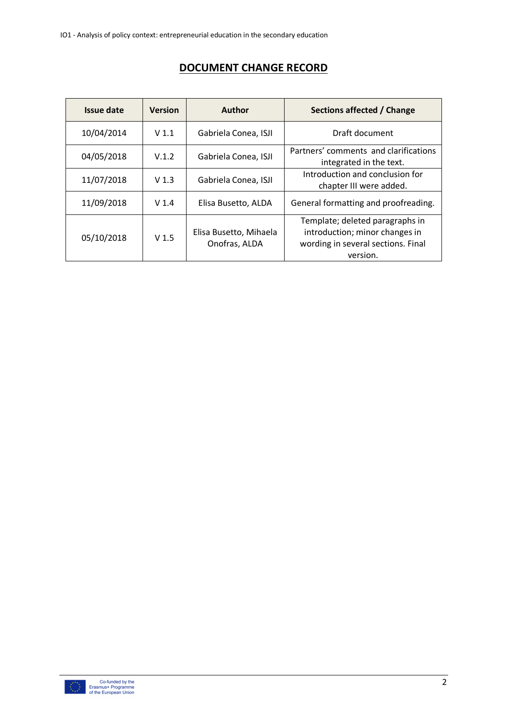| Issue date | <b>Version</b>   | <b>Author</b>                           | Sections affected / Change                                                                                          |  |
|------------|------------------|-----------------------------------------|---------------------------------------------------------------------------------------------------------------------|--|
| 10/04/2014 | V <sub>1.1</sub> | Gabriela Conea, ISJI                    | Draft document                                                                                                      |  |
| 04/05/2018 | V.1.2            | Gabriela Conea, ISJI                    | Partners' comments and clarifications<br>integrated in the text.                                                    |  |
| 11/07/2018 | V <sub>1.3</sub> | Gabriela Conea, ISJI                    | Introduction and conclusion for<br>chapter III were added.                                                          |  |
| 11/09/2018 | V <sub>1.4</sub> | Elisa Busetto, ALDA                     | General formatting and proofreading.                                                                                |  |
| 05/10/2018 | V <sub>1.5</sub> | Elisa Busetto, Mihaela<br>Onofras, ALDA | Template; deleted paragraphs in<br>introduction; minor changes in<br>wording in several sections. Final<br>version. |  |

# **DOCUMENT CHANGE RECORD**

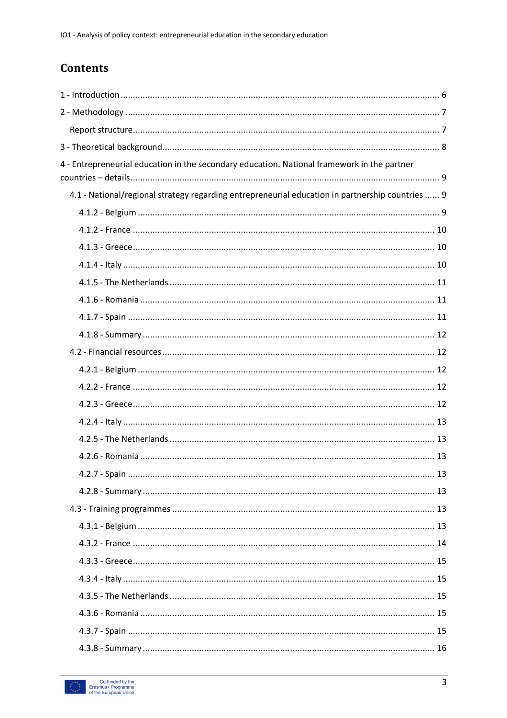# **Contents**

| 4 - Entrepreneurial education in the secondary education. National framework in the partner      |  |
|--------------------------------------------------------------------------------------------------|--|
| 4.1 - National/regional strategy regarding entrepreneurial education in partnership countries  9 |  |
|                                                                                                  |  |
|                                                                                                  |  |
|                                                                                                  |  |
|                                                                                                  |  |
|                                                                                                  |  |
|                                                                                                  |  |
|                                                                                                  |  |
|                                                                                                  |  |
|                                                                                                  |  |
|                                                                                                  |  |
|                                                                                                  |  |
|                                                                                                  |  |
|                                                                                                  |  |
|                                                                                                  |  |
|                                                                                                  |  |
|                                                                                                  |  |
|                                                                                                  |  |
|                                                                                                  |  |
|                                                                                                  |  |
|                                                                                                  |  |
|                                                                                                  |  |
|                                                                                                  |  |
|                                                                                                  |  |
|                                                                                                  |  |
|                                                                                                  |  |
|                                                                                                  |  |

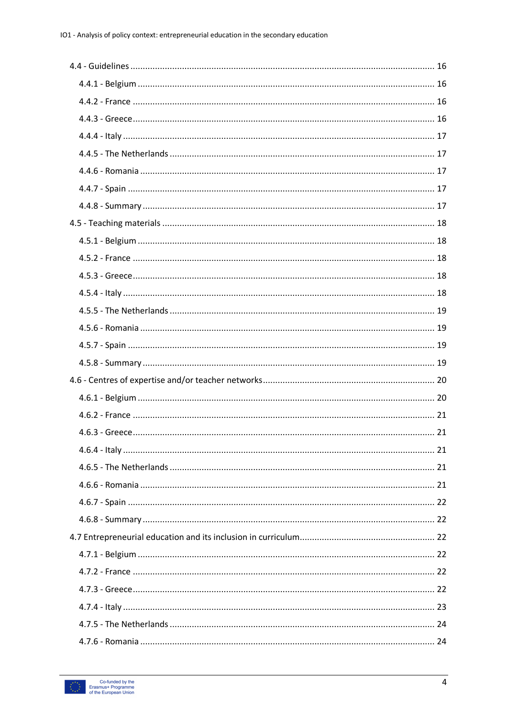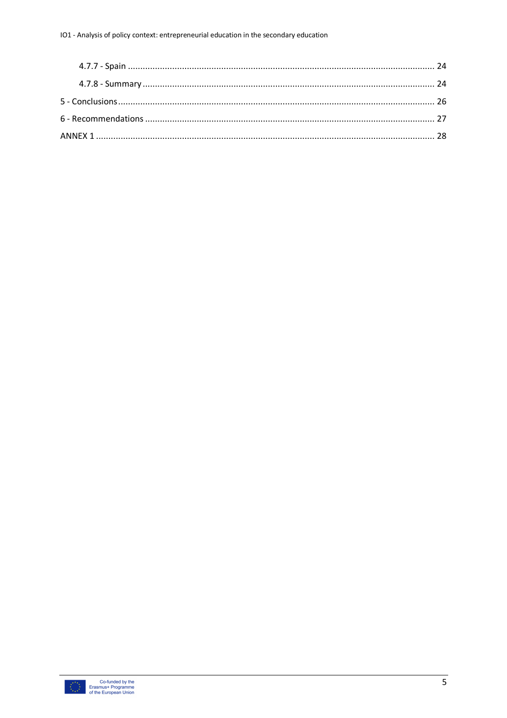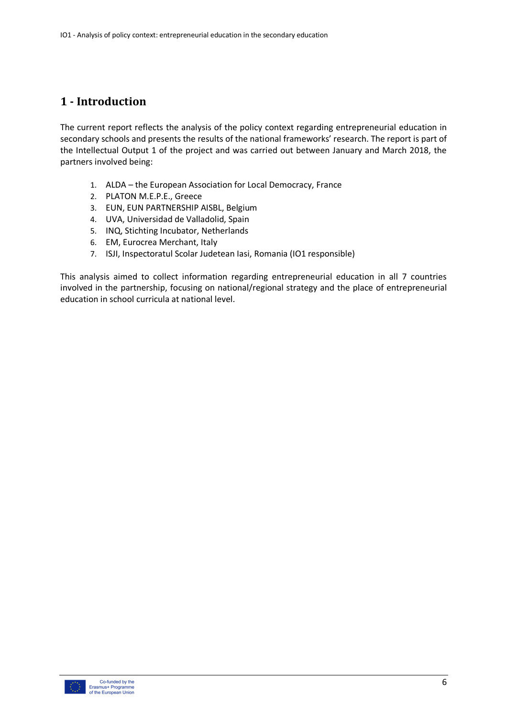# **1 - Introduction**

The current report reflects the analysis of the policy context regarding entrepreneurial education in secondary schools and presents the results of the national frameworks' research. The report is part of the Intellectual Output 1 of the project and was carried out between January and March 2018, the partners involved being:

- 1. ALDA the European Association for Local Democracy, France
- 2. PLATON M.E.P.E., Greece
- 3. EUN, EUN PARTNERSHIP AISBL, Belgium
- 4. UVA, Universidad de Valladolid, Spain
- 5. INQ, Stichting Incubator, Netherlands
- 6. EM, Eurocrea Merchant, Italy
- 7. ISJI, Inspectoratul Scolar Judetean Iasi, Romania (IO1 responsible)

This analysis aimed to collect information regarding entrepreneurial education in all 7 countries involved in the partnership, focusing on national/regional strategy and the place of entrepreneurial education in school curricula at national level.

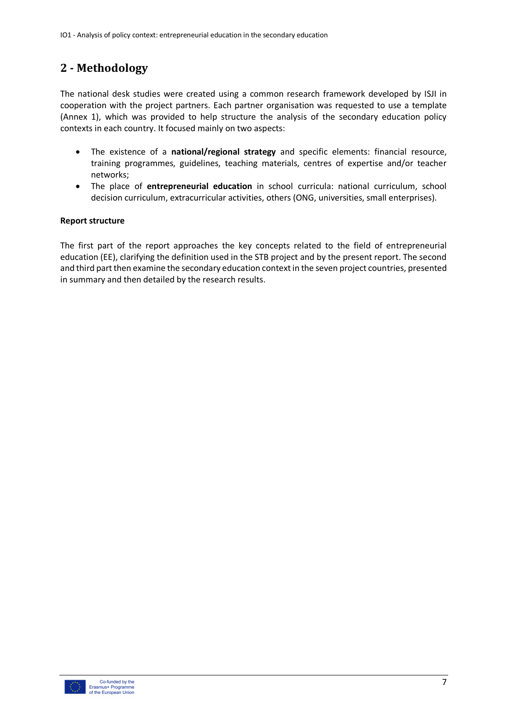# **2 - Methodology**

The national desk studies were created using a common research framework developed by ISJI in cooperation with the project partners. Each partner organisation was requested to use a template (Annex 1), which was provided to help structure the analysis of the secondary education policy contexts in each country. It focused mainly on two aspects:

- The existence of a **national/regional strategy** and specific elements: financial resource, training programmes, guidelines, teaching materials, centres of expertise and/or teacher networks;
- The place of **entrepreneurial education** in school curricula: national curriculum, school decision curriculum, extracurricular activities, others (ONG, universities, small enterprises).

## **Report structure**

The first part of the report approaches the key concepts related to the field of entrepreneurial education (EE), clarifying the definition used in the STB project and by the present report. The second and third part then examine the secondary education context in the seven project countries, presented in summary and then detailed by the research results.

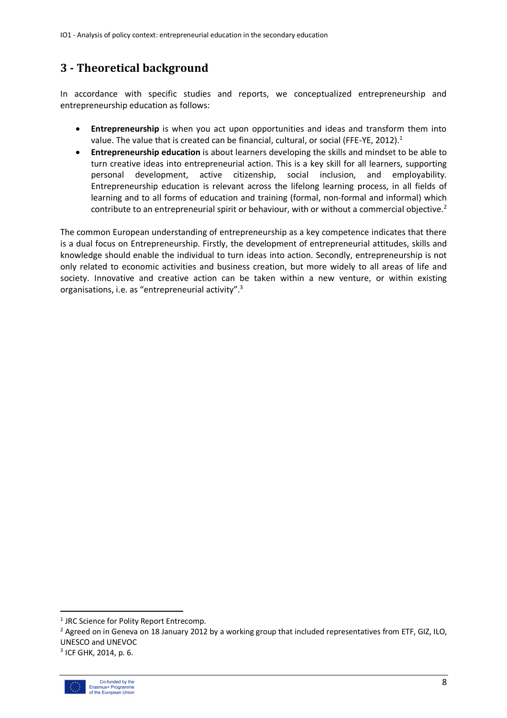# **3 - Theoretical background**

In accordance with specific studies and reports, we conceptualized entrepreneurship and entrepreneurship education as follows:

- **Entrepreneurship** is when you act upon opportunities and ideas and transform them into value. The value that is created can be financial, cultural, or social (FFE-YE, 2012).<sup>1</sup>
- **Entrepreneurship education** is about learners developing the skills and mindset to be able to turn creative ideas into entrepreneurial action. This is a key skill for all learners, supporting personal development, active citizenship, social inclusion, and employability. Entrepreneurship education is relevant across the lifelong learning process, in all fields of learning and to all forms of education and training (formal, non-formal and informal) which contribute to an entrepreneurial spirit or behaviour, with or without a commercial objective.<sup>2</sup>

The common European understanding of entrepreneurship as a key competence indicates that there is a dual focus on Entrepreneurship. Firstly, the development of entrepreneurial attitudes, skills and knowledge should enable the individual to turn ideas into action. Secondly, entrepreneurship is not only related to economic activities and business creation, but more widely to all areas of life and society. Innovative and creative action can be taken within a new venture, or within existing organisations, i.e. as "entrepreneurial activity".<sup>3</sup>

<sup>3</sup> ICF GHK, 2014, p. 6.



<sup>&</sup>lt;sup>1</sup> JRC Science for Polity Report Entrecomp.

<sup>&</sup>lt;sup>2</sup> Agreed on in Geneva on 18 January 2012 by a working group that included representatives from ETF, GIZ, ILO, UNESCO and UNEVOC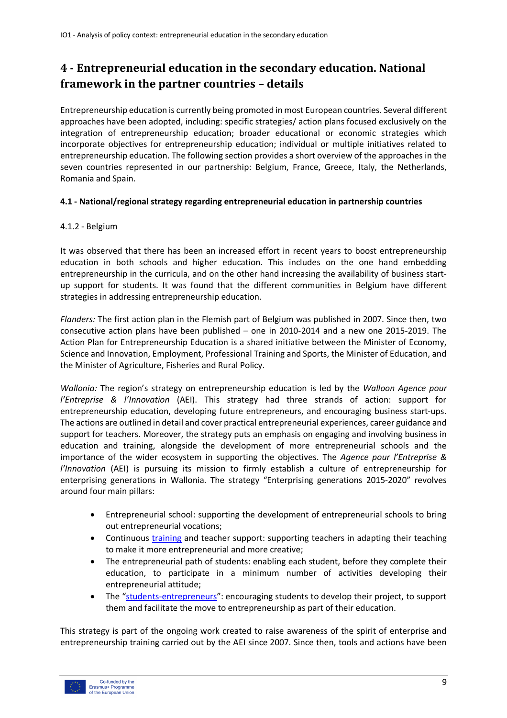# **4 - Entrepreneurial education in the secondary education. National framework in the partner countries - details**

Entrepreneurship education is currently being promoted in most European countries. Several different approaches have been adopted, including: specific strategies/ action plans focused exclusively on the integration of entrepreneurship education; broader educational or economic strategies which incorporate objectives for entrepreneurship education; individual or multiple initiatives related to entrepreneurship education. The following section provides a short overview of the approaches in the seven countries represented in our partnership: Belgium, France, Greece, Italy, the Netherlands, Romania and Spain.

## **4.1 - National/regional strategy regarding entrepreneurial education in partnership countries**

# 4.1.2 - Belgium

It was observed that there has been an increased effort in recent years to boost entrepreneurship education in both schools and higher education. This includes on the one hand embedding entrepreneurship in the curricula, and on the other hand increasing the availability of business startup support for students. It was found that the different communities in Belgium have different strategies in addressing entrepreneurship education.

*Flanders:* The first action plan in the Flemish part of Belgium was published in 2007. Since then, two consecutive action plans have been published – one in 2010-2014 and a new one 2015-2019. The Action Plan for Entrepreneurship Education is a shared initiative between the Minister of Economy, Science and Innovation, Employment, Professional Training and Sports, the Minister of Education, and the Minister of Agriculture, Fisheries and Rural Policy.

*Wallonia:* The region's strategy on entrepreneurship education is led by the *Walloon Agence pour l'Entreprise & l'Innovation* (AEI). This strategy had three strands of action: support for entrepreneurship education, developing future entrepreneurs, and encouraging business start-ups. The actions are outlined in detail and cover practical entrepreneurial experiences, career guidance and support for teachers. Moreover, the strategy puts an emphasis on engaging and involving business in education and training, alongside the development of more entrepreneurial schools and the importance of the wider ecosystem in supporting the objectives. The *Agence pour l'Entreprise & l'Innovation* (AEI) is pursuing its mission to firmly establish a culture of entrepreneurship for enterprising generations in Wallonia. The strategy "Enterprising generations 2015-2020" revolves around four main pillars:

- Entrepreneurial school: supporting the development of entrepreneurial schools to bring out entrepreneurial vocations;
- Continuous training and teacher support: supporting teachers in adapting their teaching to make it more entrepreneurial and more creative;
- The entrepreneurial path of students: enabling each student, before they complete their education, to participate in a minimum number of activities developing their entrepreneurial attitude;
- The "students-entrepreneurs": encouraging students to develop their project, to support them and facilitate the move to entrepreneurship as part of their education.

This strategy is part of the ongoing work created to raise awareness of the spirit of enterprise and entrepreneurship training carried out by the AEI since 2007. Since then, tools and actions have been

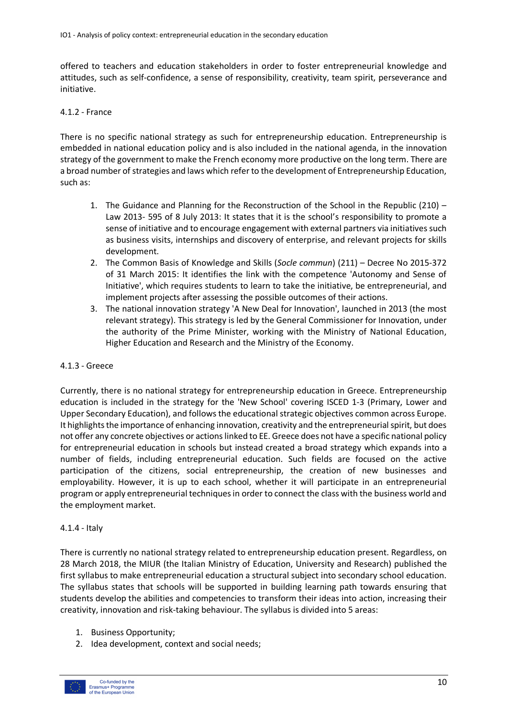offered to teachers and education stakeholders in order to foster entrepreneurial knowledge and attitudes, such as self-confidence, a sense of responsibility, creativity, team spirit, perseverance and initiative.

#### 4.1.2 - France

There is no specific national strategy as such for entrepreneurship education. Entrepreneurship is embedded in national education policy and is also included in the national agenda, in the innovation strategy of the government to make the French economy more productive on the long term. There are a broad number of strategies and laws which refer to the development of Entrepreneurship Education, such as:

- 1. The Guidance and Planning for the Reconstruction of the School in the Republic (210) Law 2013- 595 of 8 July 2013: It states that it is the school's responsibility to promote a sense of initiative and to encourage engagement with external partners via initiatives such as business visits, internships and discovery of enterprise, and relevant projects for skills development.
- 2. The Common Basis of Knowledge and Skills (*Socle commun*) (211) Decree No 2015-372 of 31 March 2015: It identifies the link with the competence 'Autonomy and Sense of Initiative', which requires students to learn to take the initiative, be entrepreneurial, and implement projects after assessing the possible outcomes of their actions.
- 3. The national innovation strategy 'A New Deal for Innovation', launched in 2013 (the most relevant strategy). This strategy is led by the General Commissioner for Innovation, under the authority of the Prime Minister, working with the Ministry of National Education, Higher Education and Research and the Ministry of the Economy.

#### 4.1.3 - Greece

Currently, there is no national strategy for entrepreneurship education in Greece. Entrepreneurship education is included in the strategy for the 'New School' covering ISCED 1-3 (Primary, Lower and Upper Secondary Education), and follows the educational strategic objectives common across Europe. It highlights the importance of enhancing innovation, creativity and the entrepreneurial spirit, but does not offer any concrete objectives or actions linked to EE. Greece does not have a specific national policy for entrepreneurial education in schools but instead created a broad strategy which expands into a number of fields, including entrepreneurial education. Such fields are focused on the active participation of the citizens, social entrepreneurship, the creation of new businesses and employability. However, it is up to each school, whether it will participate in an entrepreneurial program or apply entrepreneurial techniques in order to connect the class with the business world and the employment market.

#### 4.1.4 - Italy

There is currently no national strategy related to entrepreneurship education present. Regardless, on 28 March 2018, the MIUR (the Italian Ministry of Education, University and Research) published the first syllabus to make entrepreneurial education a structural subject into secondary school education. The syllabus states that schools will be supported in building learning path towards ensuring that students develop the abilities and competencies to transform their ideas into action, increasing their creativity, innovation and risk-taking behaviour. The syllabus is divided into 5 areas:

- 1. Business Opportunity;
- 2. Idea development, context and social needs;

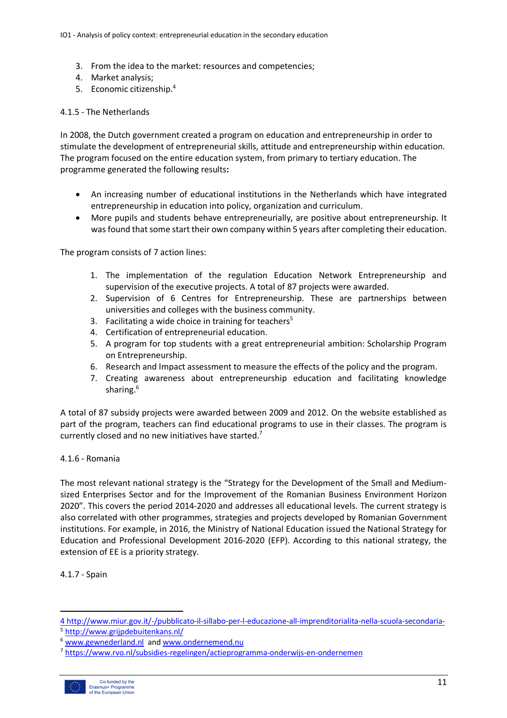- 3. From the idea to the market: resources and competencies;
- 4. Market analysis;
- 5. Economic citizenship.4

#### 4.1.5 - The Netherlands

In 2008, the Dutch government created a program on education and entrepreneurship in order to stimulate the development of entrepreneurial skills, attitude and entrepreneurship within education. The program focused on the entire education system, from primary to tertiary education. The programme generated the following results**:**

- An increasing number of educational institutions in the Netherlands which have integrated entrepreneurship in education into policy, organization and curriculum.
- More pupils and students behave entrepreneurially, are positive about entrepreneurship. It was found that some start their own company within 5 years after completing their education.

The program consists of 7 action lines:

- 1. The implementation of the regulation Education Network Entrepreneurship and supervision of the executive projects. A total of 87 projects were awarded.
- 2. Supervision of 6 Centres for Entrepreneurship. These are partnerships between universities and colleges with the business community.
- 3. Facilitating a wide choice in training for teachers<sup>5</sup>
- 4. Certification of entrepreneurial education.
- 5. A program for top students with a great entrepreneurial ambition: Scholarship Program on Entrepreneurship.
- 6. Research and Impact assessment to measure the effects of the policy and the program.
- 7. Creating awareness about entrepreneurship education and facilitating knowledge sharing.<sup>6</sup>

A total of 87 subsidy projects were awarded between 2009 and 2012. On the website established as part of the program, teachers can find educational programs to use in their classes. The program is currently closed and no new initiatives have started.<sup>7</sup>

#### 4.1.6 - Romania

The most relevant national strategy is the "Strategy for the Development of the Small and Mediumsized Enterprises Sector and for the Improvement of the Romanian Business Environment Horizon 2020". This covers the period 2014-2020 and addresses all educational levels. The current strategy is also correlated with other programmes, strategies and projects developed by Romanian Government institutions. For example, in 2016, the Ministry of National Education issued the National Strategy for Education and Professional Development 2016-2020 (EFP). According to this national strategy, the extension of EE is a priority strategy.

4.1.7 - Spain

 $\overline{a}$ 

<sup>7</sup> https://www.rvo.nl/subsidies-regelingen/actieprogramma-onderwijs-en-ondernemen



<sup>4</sup> http://www.miur.gov.it/-/pubblicato-il-sillabo-per-l-educazione-all-imprenditorialita-nella-scuola-secondaria- <sup>5</sup> http://www.grijpdebuitenkans.nl/

<sup>6</sup> www.gewnederland.nl and www.ondernemend.nu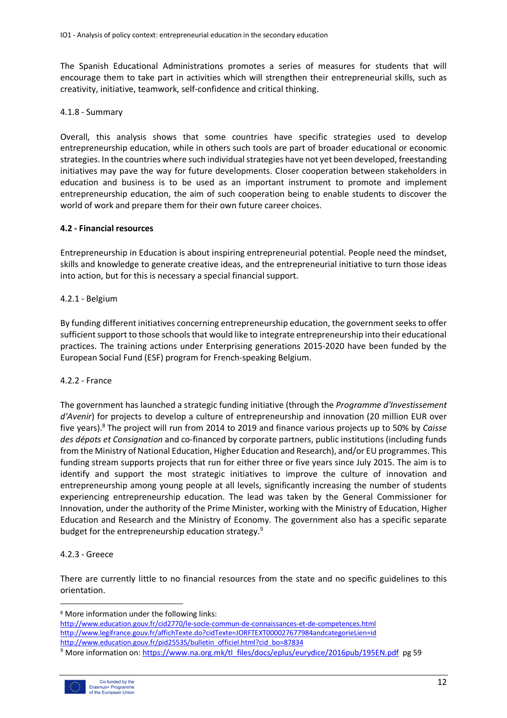The Spanish Educational Administrations promotes a series of measures for students that will encourage them to take part in activities which will strengthen their entrepreneurial skills, such as creativity, initiative, teamwork, self-confidence and critical thinking.

#### 4.1.8 - Summary

Overall, this analysis shows that some countries have specific strategies used to develop entrepreneurship education, while in others such tools are part of broader educational or economic strategies. In the countries where such individual strategies have not yet been developed, freestanding initiatives may pave the way for future developments. Closer cooperation between stakeholders in education and business is to be used as an important instrument to promote and implement entrepreneurship education, the aim of such cooperation being to enable students to discover the world of work and prepare them for their own future career choices.

## **4.2 - Financial resources**

Entrepreneurship in Education is about inspiring entrepreneurial potential. People need the mindset, skills and knowledge to generate creative ideas, and the entrepreneurial initiative to turn those ideas into action, but for this is necessary a special financial support.

## 4.2.1 - Belgium

By funding different initiatives concerning entrepreneurship education, the government seeks to offer sufficient support to those schools that would like to integrate entrepreneurship into their educational practices. The training actions under Enterprising generations 2015-2020 have been funded by the European Social Fund (ESF) program for French-speaking Belgium.

#### 4.2.2 - France

The government has launched a strategic funding initiative (through the *Programme d'Investissement d'Avenir*) for projects to develop a culture of entrepreneurship and innovation (20 million EUR over five years).8 The project will run from 2014 to 2019 and finance various projects up to 50% by *Caisse des dépots et Consignation* and co-financed by corporate partners, public institutions (including funds from the Ministry of National Education, Higher Education and Research), and/or EU programmes. This funding stream supports projects that run for either three or five years since July 2015. The aim is to identify and support the most strategic initiatives to improve the culture of innovation and entrepreneurship among young people at all levels, significantly increasing the number of students experiencing entrepreneurship education. The lead was taken by the General Commissioner for Innovation, under the authority of the Prime Minister, working with the Ministry of Education, Higher Education and Research and the Ministry of Economy. The government also has a specific separate budget for the entrepreneurship education strategy.<sup>9</sup>

# 4.2.3 - Greece

There are currently little to no financial resources from the state and no specific guidelines to this orientation.



 <sup>8</sup> More information under the following links:

http://www.education.gouv.fr/cid2770/le-socle-commun-de-connaissances-et-de-competences.html http://www.legifrance.gouv.fr/affichTexte.do?cidTexte=JORFTEXT000027677984andcategorieLien=id http://www.education.gouv.fr/pid25535/bulletin\_officiel.html?cid\_bo=87834<br><sup>9</sup> More information on: https://www.na.org.mk/tl\_files/docs/eplus/eurydice/2016pub/195EN.pdf pg 59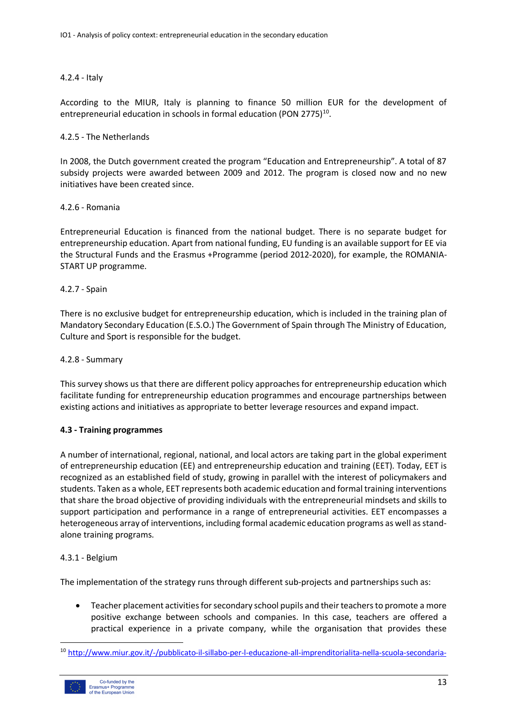#### 4.2.4 - Italy

According to the MIUR, Italy is planning to finance 50 million EUR for the development of entrepreneurial education in schools in formal education (PON 2775)<sup>10</sup>.

#### 4.2.5 - The Netherlands

In 2008, the Dutch government created the program "Education and Entrepreneurship". A total of 87 subsidy projects were awarded between 2009 and 2012. The program is closed now and no new initiatives have been created since.

#### 4.2.6 - Romania

Entrepreneurial Education is financed from the national budget. There is no separate budget for entrepreneurship education. Apart from national funding, EU funding is an available support for EE via the Structural Funds and the Erasmus +Programme (period 2012-2020), for example, the ROMANIA-START UP programme.

## 4.2.7 - Spain

There is no exclusive budget for entrepreneurship education, which is included in the training plan of Mandatory Secondary Education (E.S.O.) The Government of Spain through The Ministry of Education, Culture and Sport is responsible for the budget.

#### 4.2.8 - Summary

This survey shows us that there are different policy approaches for entrepreneurship education which facilitate funding for entrepreneurship education programmes and encourage partnerships between existing actions and initiatives as appropriate to better leverage resources and expand impact.

#### **4.3 - Training programmes**

A number of international, regional, national, and local actors are taking part in the global experiment of entrepreneurship education (EE) and entrepreneurship education and training (EET). Today, EET is recognized as an established field of study, growing in parallel with the interest of policymakers and students. Taken as a whole, EET represents both academic education and formal training interventions that share the broad objective of providing individuals with the entrepreneurial mindsets and skills to support participation and performance in a range of entrepreneurial activities. EET encompasses a heterogeneous array of interventions, including formal academic education programs as well as standalone training programs.

#### 4.3.1 - Belgium

The implementation of the strategy runs through different sub-projects and partnerships such as:

• Teacher placement activities for secondary school pupils and their teachers to promote a more positive exchange between schools and companies. In this case, teachers are offered a practical experience in a private company, while the organisation that provides these

 <sup>10</sup> http://www.miur.gov.it/-/pubblicato-il-sillabo-per-l-educazione-all-imprenditorialita-nella-scuola-secondaria-

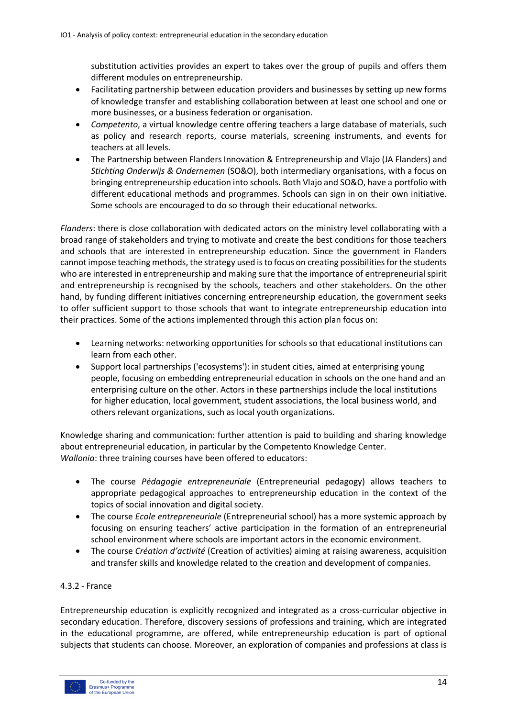substitution activities provides an expert to takes over the group of pupils and offers them different modules on entrepreneurship.

- Facilitating partnership between education providers and businesses by setting up new forms of knowledge transfer and establishing collaboration between at least one school and one or more businesses, or a business federation or organisation.
- *Competento*, a virtual knowledge centre offering teachers a large database of materials, such as policy and research reports, course materials, screening instruments, and events for teachers at all levels.
- The Partnership between Flanders Innovation & Entrepreneurship and Vlajo (JA Flanders) and *Stichting Onderwijs & Ondernemen* (SO&O), both intermediary organisations, with a focus on bringing entrepreneurship education into schools. Both Vlajo and SO&O, have a portfolio with different educational methods and programmes. Schools can sign in on their own initiative. Some schools are encouraged to do so through their educational networks.

*Flanders*: there is close collaboration with dedicated actors on the ministry level collaborating with a broad range of stakeholders and trying to motivate and create the best conditions for those teachers and schools that are interested in entrepreneurship education. Since the government in Flanders cannot impose teaching methods, the strategy used is to focus on creating possibilities for the students who are interested in entrepreneurship and making sure that the importance of entrepreneurial spirit and entrepreneurship is recognised by the schools, teachers and other stakeholders. On the other hand, by funding different initiatives concerning entrepreneurship education, the government seeks to offer sufficient support to those schools that want to integrate entrepreneurship education into their practices. Some of the actions implemented through this action plan focus on:

- Learning networks: networking opportunities for schools so that educational institutions can learn from each other.
- Support local partnerships ('ecosystems'): in student cities, aimed at enterprising young people, focusing on embedding entrepreneurial education in schools on the one hand and an enterprising culture on the other. Actors in these partnerships include the local institutions for higher education, local government, student associations, the local business world, and others relevant organizations, such as local youth organizations.

Knowledge sharing and communication: further attention is paid to building and sharing knowledge about entrepreneurial education, in particular by the Competento Knowledge Center. *Wallonia*: three training courses have been offered to educators:

- The course *Pédagogie entrepreneuriale* (Entrepreneurial pedagogy) allows teachers to appropriate pedagogical approaches to entrepreneurship education in the context of the topics of social innovation and digital society.
- The course *Ecole entrepreneuriale* (Entrepreneurial school) has a more systemic approach by focusing on ensuring teachers' active participation in the formation of an entrepreneurial school environment where schools are important actors in the economic environment.
- The course *Création d'activité* (Creation of activities) aiming at raising awareness, acquisition and transfer skills and knowledge related to the creation and development of companies.

# 4.3.2 - France

Entrepreneurship education is explicitly recognized and integrated as a cross-curricular objective in secondary education. Therefore, discovery sessions of professions and training, which are integrated in the educational programme, are offered, while entrepreneurship education is part of optional subjects that students can choose. Moreover, an exploration of companies and professions at class is

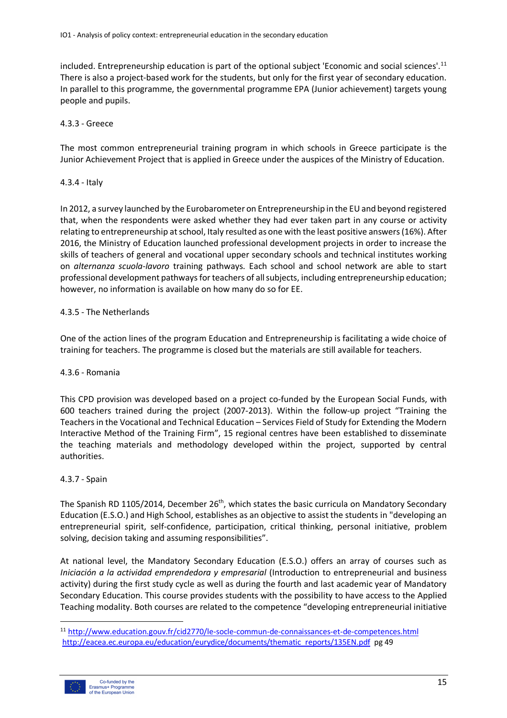included. Entrepreneurship education is part of the optional subject 'Economic and social sciences'.11 There is also a project-based work for the students, but only for the first year of secondary education. In parallel to this programme, the governmental programme EPA (Junior achievement) targets young people and pupils.

# 4.3.3 - Greece

The most common entrepreneurial training program in which schools in Greece participate is the Junior Achievement Project that is applied in Greece under the auspices of the Ministry of Education.

## 4.3.4 - Italy

In 2012, a survey launched by the Eurobarometer on Entrepreneurship in the EU and beyond registered that, when the respondents were asked whether they had ever taken part in any course or activity relating to entrepreneurship at school, Italy resulted as one with the least positive answers (16%). After 2016, the Ministry of Education launched professional development projects in order to increase the skills of teachers of general and vocational upper secondary schools and technical institutes working on *alternanza scuola-lavoro* training pathways. Each school and school network are able to start professional development pathways for teachers of all subjects, including entrepreneurship education; however, no information is available on how many do so for EE.

## 4.3.5 - The Netherlands

One of the action lines of the program Education and Entrepreneurship is facilitating a wide choice of training for teachers. The programme is closed but the materials are still available for teachers.

#### 4.3.6 - Romania

This CPD provision was developed based on a project co-funded by the European Social Funds, with 600 teachers trained during the project (2007-2013). Within the follow-up project "Training the Teachers in the Vocational and Technical Education – Services Field of Study for Extending the Modern Interactive Method of the Training Firm", 15 regional centres have been established to disseminate the teaching materials and methodology developed within the project, supported by central authorities.

# 4.3.7 - Spain

The Spanish RD 1105/2014, December 26<sup>th</sup>, which states the basic curricula on Mandatory Secondary Education (E.S.O.) and High School, establishes as an objective to assist the students in "developing an entrepreneurial spirit, self-confidence, participation, critical thinking, personal initiative, problem solving, decision taking and assuming responsibilities".

At national level, the Mandatory Secondary Education (E.S.O.) offers an array of courses such as *Iniciación a la actividad emprendedora y empresarial* (Introduction to entrepreneurial and business activity) during the first study cycle as well as during the fourth and last academic year of Mandatory Secondary Education. This course provides students with the possibility to have access to the Applied Teaching modality. Both courses are related to the competence "developing entrepreneurial initiative

 <sup>11</sup> http://www.education.gouv.fr/cid2770/le-socle-commun-de-connaissances-et-de-competences.html http://eacea.ec.europa.eu/education/eurydice/documents/thematic\_reports/135EN.pdf pg 49

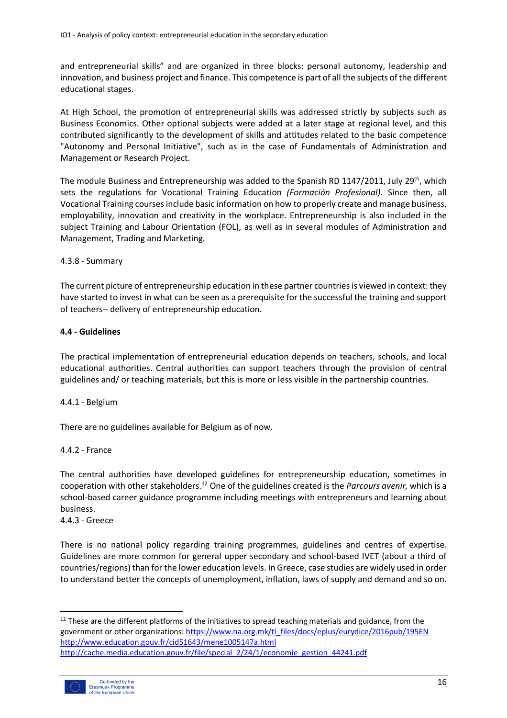and entrepreneurial skills" and are organized in three blocks: personal autonomy, leadership and innovation, and business project and finance. This competence is part of all the subjects of the different educational stages.

At High School, the promotion of entrepreneurial skills was addressed strictly by subjects such as Business Economics. Other optional subjects were added at a later stage at regional level, and this contributed significantly to the development of skills and attitudes related to the basic competence "Autonomy and Personal Initiative", such as in the case of Fundamentals of Administration and Management or Research Project.

The module Business and Entrepreneurship was added to the Spanish RD 1147/2011, July 29<sup>th</sup>, which sets the regulations for Vocational Training Education *(Formación Profesional)*. Since then, all Vocational Training courses include basic information on how to properly create and manage business, employability, innovation and creativity in the workplace. Entrepreneurship is also included in the subject Training and Labour Orientation (FOL), as well as in several modules of Administration and Management, Trading and Marketing.

## 4.3.8 - Summary

The current picture of entrepreneurship education in these partner countries is viewed in context: they have started to invest in what can be seen as a prerequisite for the successful the training and support of teachers- delivery of entrepreneurship education.

## **4.4 - Guidelines**

The practical implementation of entrepreneurial education depends on teachers, schools, and local educational authorities. Central authorities can support teachers through the provision of central guidelines and/ or teaching materials, but this is more or less visible in the partnership countries.

# 4.4.1 - Belgium

There are no guidelines available for Belgium as of now.

#### 4.4.2 - France

The central authorities have developed guidelines for entrepreneurship education, sometimes in cooperation with other stakeholders.12 One of the guidelines created is the *Parcours avenir,* which is a school-based career guidance programme including meetings with entrepreneurs and learning about business.

4.4.3 - Greece

There is no national policy regarding training programmes, guidelines and centres of expertise. Guidelines are more common for general upper secondary and school-based IVET (about a third of countries/regions) than for the lower education levels. In Greece, case studies are widely used in order to understand better the concepts of unemployment, inflation, laws of supply and demand and so on.

<sup>&</sup>lt;sup>12</sup> These are the different platforms of the initiatives to spread teaching materials and guidance, from the government or other organizations: https://www.na.org.mk/tl\_files/docs/eplus/eurydice/2016pub/195EN http://www.education.gouv.fr/cid51643/mene1005147a.html http://cache.media.education.gouv.fr/file/special\_2/24/1/economie\_gestion\_44241.pdf

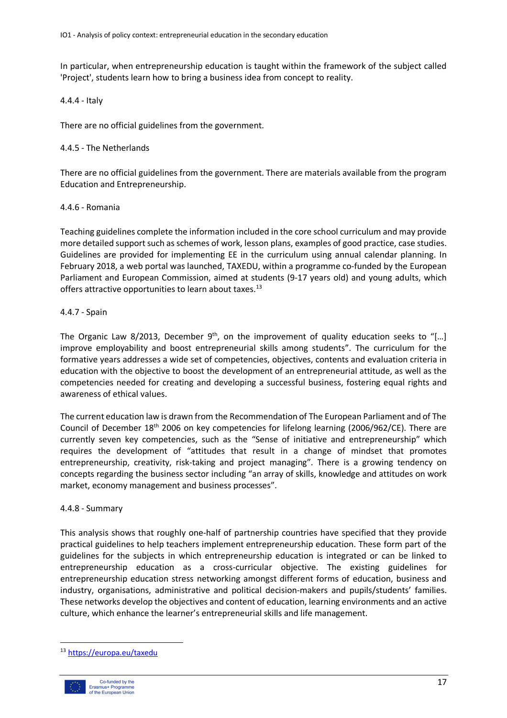In particular, when entrepreneurship education is taught within the framework of the subject called 'Project', students learn how to bring a business idea from concept to reality.

#### 4.4.4 - Italy

There are no official guidelines from the government.

#### 4.4.5 - The Netherlands

There are no official guidelines from the government. There are materials available from the program Education and Entrepreneurship.

#### 4.4.6 - Romania

Teaching guidelines complete the information included in the core school curriculum and may provide more detailed support such as schemes of work, lesson plans, examples of good practice, case studies. Guidelines are provided for implementing EE in the curriculum using annual calendar planning. In February 2018, a web portal was launched, TAXEDU, within a programme co-funded by the European Parliament and European Commission, aimed at students (9-17 years old) and young adults, which offers attractive opportunities to learn about taxes.<sup>13</sup>

#### 4.4.7 - Spain

The Organic Law 8/2013, December  $9<sup>th</sup>$ , on the improvement of quality education seeks to "[...] improve employability and boost entrepreneurial skills among students". The curriculum for the formative years addresses a wide set of competencies, objectives, contents and evaluation criteria in education with the objective to boost the development of an entrepreneurial attitude, as well as the competencies needed for creating and developing a successful business, fostering equal rights and awareness of ethical values.

The current education law is drawn from the Recommendation of The European Parliament and of The Council of December 18th 2006 on key competencies for lifelong learning (2006/962/CE). There are currently seven key competencies, such as the "Sense of initiative and entrepreneurship" which requires the development of "attitudes that result in a change of mindset that promotes entrepreneurship, creativity, risk-taking and project managing". There is a growing tendency on concepts regarding the business sector including "an array of skills, knowledge and attitudes on work market, economy management and business processes".

#### 4.4.8 - Summary

This analysis shows that roughly one-half of partnership countries have specified that they provide practical guidelines to help teachers implement entrepreneurship education. These form part of the guidelines for the subjects in which entrepreneurship education is integrated or can be linked to entrepreneurship education as a cross-curricular objective. The existing guidelines for entrepreneurship education stress networking amongst different forms of education, business and industry, organisations, administrative and political decision-makers and pupils/students' families. These networks develop the objectives and content of education, learning environments and an active culture, which enhance the learner's entrepreneurial skills and life management.

 <sup>13</sup> https://europa.eu/taxedu

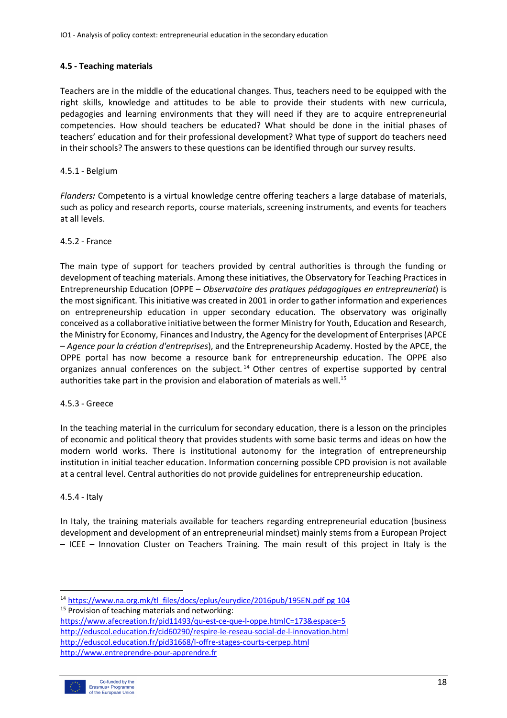# **4.5 - Teaching materials**

Teachers are in the middle of the educational changes. Thus, teachers need to be equipped with the right skills, knowledge and attitudes to be able to provide their students with new curricula, pedagogies and learning environments that they will need if they are to acquire entrepreneurial competencies. How should teachers be educated? What should be done in the initial phases of teachers' education and for their professional development? What type of support do teachers need in their schools? The answers to these questions can be identified through our survey results.

# 4.5.1 - Belgium

*Flanders:* Competento is a virtual knowledge centre offering teachers a large database of materials, such as policy and research reports, course materials, screening instruments, and events for teachers at all levels.

# 4.5.2 - France

The main type of support for teachers provided by central authorities is through the funding or development of teaching materials. Among these initiatives, the Observatory for Teaching Practices in Entrepreneurship Education (OPPE – *Observatoire des pratiques pédagogiques en entrepreuneriat*) is the most significant. This initiative was created in 2001 in order to gather information and experiences on entrepreneurship education in upper secondary education. The observatory was originally conceived as a collaborative initiative between the former Ministry for Youth, Education and Research, the Ministry for Economy, Finances and Industry, the Agency for the development of Enterprises (APCE – *Agence pour la création d'entreprises*), and the Entrepreneurship Academy. Hosted by the APCE, the OPPE portal has now become a resource bank for entrepreneurship education. The OPPE also organizes annual conferences on the subject.<sup>14</sup> Other centres of expertise supported by central authorities take part in the provision and elaboration of materials as well.<sup>15</sup>

# 4.5.3 - Greece

In the teaching material in the curriculum for secondary education, there is a lesson on the principles of economic and political theory that provides students with some basic terms and ideas on how the modern world works. There is institutional autonomy for the integration of entrepreneurship institution in initial teacher education. Information concerning possible CPD provision is not available at a central level. Central authorities do not provide guidelines for entrepreneurship education.

# 4.5.4 - Italy

In Italy, the training materials available for teachers regarding entrepreneurial education (business development and development of an entrepreneurial mindset) mainly stems from a European Project – ICEE – Innovation Cluster on Teachers Training. The main result of this project in Italy is the

http://eduscol.education.fr/pid31668/l-offre-stages-courts-cerpep.html http://www.entreprendre-pour-apprendre.fr



 <sup>14</sup> https://www.na.org.mk/tl\_files/docs/eplus/eurydice/2016pub/195EN.pdf pg 104 <sup>15</sup> Provision of teaching materials and networking: https://www.afecreation.fr/pid11493/qu-est-ce-que-l-oppe.htmlC=173&espace=5 http://eduscol.education.fr/cid60290/respire-le-reseau-social-de-l-innovation.html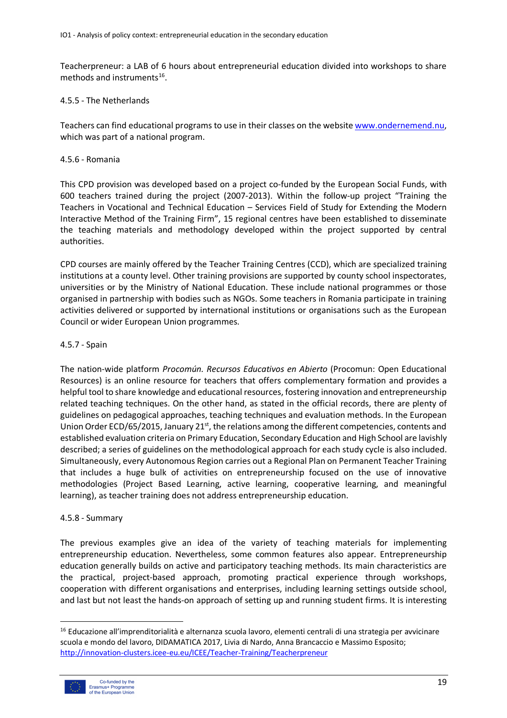Teacherpreneur: a LAB of 6 hours about entrepreneurial education divided into workshops to share methods and instruments $^{16}$ .

#### 4.5.5 - The Netherlands

Teachers can find educational programs to use in their classes on the website www.ondernemend.nu, which was part of a national program.

#### 4.5.6 - Romania

This CPD provision was developed based on a project co-funded by the European Social Funds, with 600 teachers trained during the project (2007-2013). Within the follow-up project "Training the Teachers in Vocational and Technical Education – Services Field of Study for Extending the Modern Interactive Method of the Training Firm", 15 regional centres have been established to disseminate the teaching materials and methodology developed within the project supported by central authorities.

CPD courses are mainly offered by the Teacher Training Centres (CCD), which are specialized training institutions at a county level. Other training provisions are supported by county school inspectorates, universities or by the Ministry of National Education. These include national programmes or those organised in partnership with bodies such as NGOs. Some teachers in Romania participate in training activities delivered or supported by international institutions or organisations such as the European Council or wider European Union programmes.

#### 4.5.7 - Spain

The nation-wide platform *Procomún. Recursos Educativos en Abierto* (Procomun: Open Educational Resources) is an online resource for teachers that offers complementary formation and provides a helpful tool to share knowledge and educational resources, fostering innovation and entrepreneurship related teaching techniques. On the other hand, as stated in the official records, there are plenty of guidelines on pedagogical approaches, teaching techniques and evaluation methods. In the European Union Order ECD/65/2015, January 21<sup>st</sup>, the relations among the different competencies, contents and established evaluation criteria on Primary Education, Secondary Education and High School are lavishly described; a series of guidelines on the methodological approach for each study cycle is also included. Simultaneously, every Autonomous Region carries out a Regional Plan on Permanent Teacher Training that includes a huge bulk of activities on entrepreneurship focused on the use of innovative methodologies (Project Based Learning, active learning, cooperative learning, and meaningful learning), as teacher training does not address entrepreneurship education.

#### 4.5.8 - Summary

The previous examples give an idea of the variety of teaching materials for implementing entrepreneurship education. Nevertheless, some common features also appear. Entrepreneurship education generally builds on active and participatory teaching methods. Its main characteristics are the practical, project-based approach, promoting practical experience through workshops, cooperation with different organisations and enterprises, including learning settings outside school, and last but not least the hands-on approach of setting up and running student firms. It is interesting

<sup>&</sup>lt;sup>16</sup> Educazione all'imprenditorialità e alternanza scuola lavoro, elementi centrali di una strategia per avvicinare scuola e mondo del lavoro, DIDAMATICA 2017, Livia di Nardo, Anna Brancaccio e Massimo Esposito; http://innovation-clusters.icee-eu.eu/ICEE/Teacher-Training/Teacherpreneur

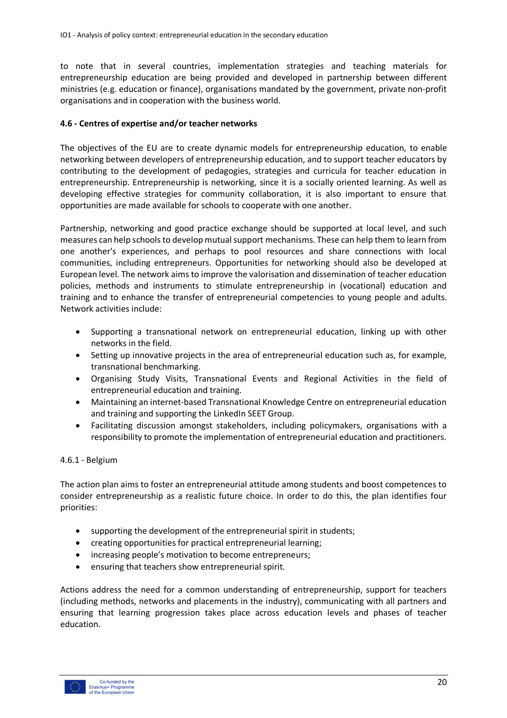to note that in several countries, implementation strategies and teaching materials for entrepreneurship education are being provided and developed in partnership between different ministries (e.g. education or finance), organisations mandated by the government, private non-profit organisations and in cooperation with the business world.

#### **4.6 - Centres of expertise and/or teacher networks**

The objectives of the EU are to create dynamic models for entrepreneurship education, to enable networking between developers of entrepreneurship education, and to support teacher educators by contributing to the development of pedagogies, strategies and curricula for teacher education in entrepreneurship. Entrepreneurship is networking, since it is a socially oriented learning. As well as developing effective strategies for community collaboration, it is also important to ensure that opportunities are made available for schools to cooperate with one another.

Partnership, networking and good practice exchange should be supported at local level, and such measures can help schools to develop mutual support mechanisms. These can help them to learn from one another's experiences, and perhaps to pool resources and share connections with local communities, including entrepreneurs. Opportunities for networking should also be developed at European level. The network aims to improve the valorisation and dissemination of teacher education policies, methods and instruments to stimulate entrepreneurship in (vocational) education and training and to enhance the transfer of entrepreneurial competencies to young people and adults. Network activities include:

- Supporting a transnational network on entrepreneurial education, linking up with other networks in the field.
- Setting up innovative projects in the area of entrepreneurial education such as, for example, transnational benchmarking.
- Organising Study Visits, Transnational Events and Regional Activities in the field of entrepreneurial education and training.
- Maintaining an internet-based Transnational Knowledge Centre on entrepreneurial education and training and supporting the LinkedIn SEET Group.
- Facilitating discussion amongst stakeholders, including policymakers, organisations with a responsibility to promote the implementation of entrepreneurial education and practitioners.

#### 4.6.1 - Belgium

The action plan aims to foster an entrepreneurial attitude among students and boost competences to consider entrepreneurship as a realistic future choice. In order to do this, the plan identifies four priorities:

- supporting the development of the entrepreneurial spirit in students;
- creating opportunities for practical entrepreneurial learning;
- increasing people's motivation to become entrepreneurs;
- ensuring that teachers show entrepreneurial spirit.

Actions address the need for a common understanding of entrepreneurship, support for teachers (including methods, networks and placements in the industry), communicating with all partners and ensuring that learning progression takes place across education levels and phases of teacher education.

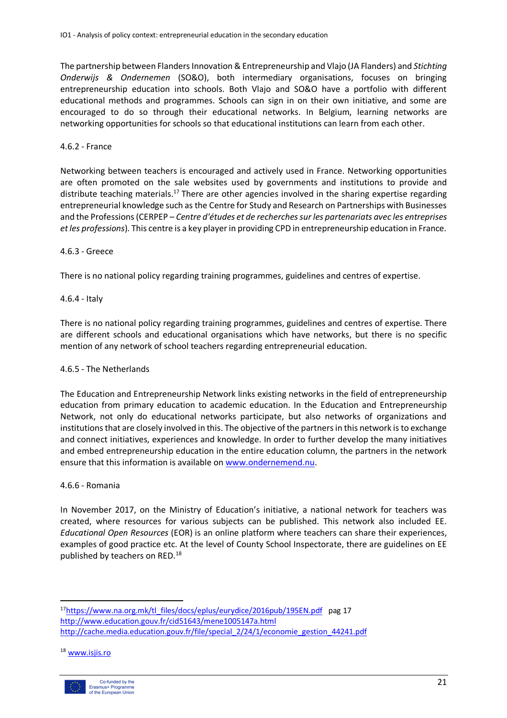The partnership between Flanders Innovation & Entrepreneurship and Vlajo (JA Flanders) and *Stichting Onderwijs & Ondernemen* (SO&O), both intermediary organisations, focuses on bringing entrepreneurship education into schools. Both Vlajo and SO&O have a portfolio with different educational methods and programmes. Schools can sign in on their own initiative, and some are encouraged to do so through their educational networks. In Belgium, learning networks are networking opportunities for schools so that educational institutions can learn from each other.

#### 4.6.2 - France

Networking between teachers is encouraged and actively used in France. Networking opportunities are often promoted on the sale websites used by governments and institutions to provide and distribute teaching materials.<sup>17</sup> There are other agencies involved in the sharing expertise regarding entrepreneurial knowledge such as the Centre for Study and Research on Partnerships with Businesses and the Professions (CERPEP – *Centre d'études et de recherches sur les partenariats avec les entreprises et les professions*). This centre is a key player in providing CPD in entrepreneurship education in France.

#### 4.6.3 - Greece

There is no national policy regarding training programmes, guidelines and centres of expertise.

#### 4.6.4 - Italy

There is no national policy regarding training programmes, guidelines and centres of expertise. There are different schools and educational organisations which have networks, but there is no specific mention of any network of school teachers regarding entrepreneurial education.

#### 4.6.5 - The Netherlands

The Education and Entrepreneurship Network links existing networks in the field of entrepreneurship education from primary education to academic education. In the Education and Entrepreneurship Network, not only do educational networks participate, but also networks of organizations and institutions that are closely involved in this. The objective of the partners in this network is to exchange and connect initiatives, experiences and knowledge. In order to further develop the many initiatives and embed entrepreneurship education in the entire education column, the partners in the network ensure that this information is available on www.ondernemend.nu.

#### 4.6.6 - Romania

In November 2017, on the Ministry of Education's initiative, a national network for teachers was created, where resources for various subjects can be published. This network also included EE. *Educational Open Resources* (EOR) is an online platform where teachers can share their experiences, examples of good practice etc. At the level of County School Inspectorate, there are guidelines on EE published by teachers on RED.<sup>18</sup>

<sup>18</sup> www.isjis.ro



<sup>17</sup>https://www.na.org.mk/tl\_files/docs/eplus/eurydice/2016pub/195EN.pdf pag 17 http://www.education.gouv.fr/cid51643/mene1005147a.html http://cache.media.education.gouv.fr/file/special\_2/24/1/economie\_gestion\_44241.pdf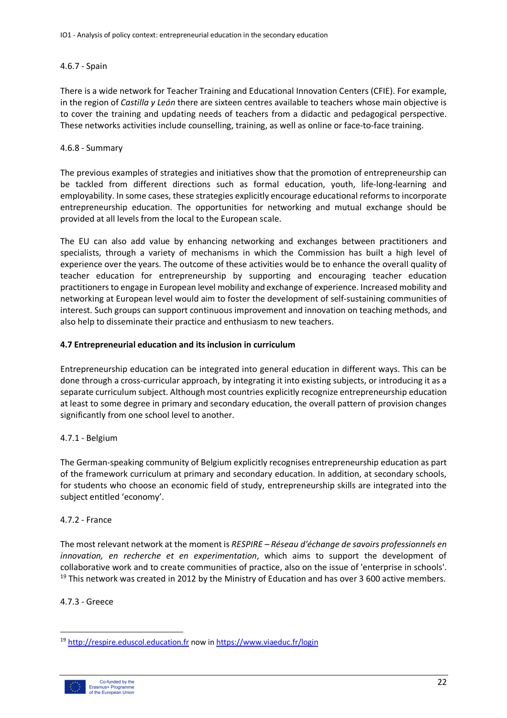# 4.6.7 - Spain

There is a wide network for Teacher Training and Educational Innovation Centers (CFIE). For example, in the region of *Castilla y León* there are sixteen centres available to teachers whose main objective is to cover the training and updating needs of teachers from a didactic and pedagogical perspective. These networks activities include counselling, training, as well as online or face-to-face training.

# 4.6.8 - Summary

The previous examples of strategies and initiatives show that the promotion of entrepreneurship can be tackled from different directions such as formal education, youth, life-long-learning and employability. In some cases, these strategies explicitly encourage educational reforms to incorporate entrepreneurship education. The opportunities for networking and mutual exchange should be provided at all levels from the local to the European scale.

The EU can also add value by enhancing networking and exchanges between practitioners and specialists, through a variety of mechanisms in which the Commission has built a high level of experience over the years. The outcome of these activities would be to enhance the overall quality of teacher education for entrepreneurship by supporting and encouraging teacher education practitioners to engage in European level mobility and exchange of experience. Increased mobility and networking at European level would aim to foster the development of self-sustaining communities of interest. Such groups can support continuous improvement and innovation on teaching methods, and also help to disseminate their practice and enthusiasm to new teachers.

# **4.7 Entrepreneurial education and its inclusion in curriculum**

Entrepreneurship education can be integrated into general education in different ways. This can be done through a cross-curricular approach, by integrating it into existing subjects, or introducing it as a separate curriculum subject. Although most countries explicitly recognize entrepreneurship education at least to some degree in primary and secondary education, the overall pattern of provision changes significantly from one school level to another.

# 4.7.1 - Belgium

The German-speaking community of Belgium explicitly recognises entrepreneurship education as part of the framework curriculum at primary and secondary education. In addition, at secondary schools, for students who choose an economic field of study, entrepreneurship skills are integrated into the subject entitled 'economy'.

#### 4.7.2 - France

The most relevant network at the moment is *RESPIRE – Réseau d'échange de savoirs professionnels en innovation, en recherche et en experimentation*, which aims to support the development of collaborative work and to create communities of practice, also on the issue of 'enterprise in schools'.  $19$  This network was created in 2012 by the Ministry of Education and has over 3 600 active members.

#### 4.7.3 - Greece

<sup>&</sup>lt;sup>19</sup> http://respire.eduscol.education.fr now in https://www.viaeduc.fr/login

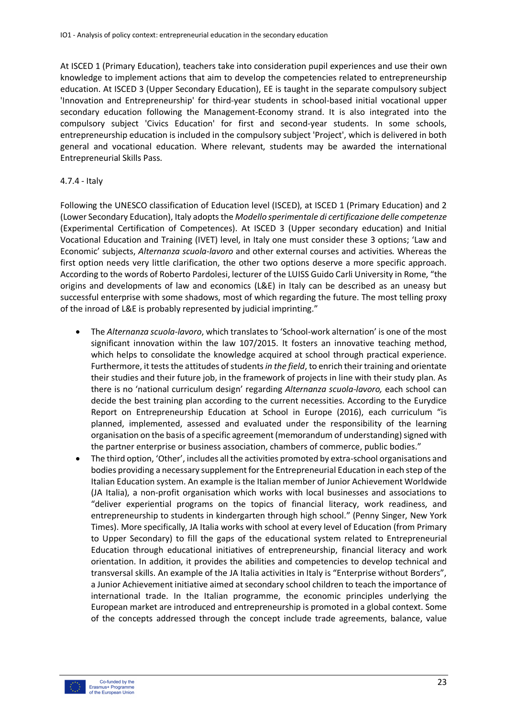At ISCED 1 (Primary Education), teachers take into consideration pupil experiences and use their own knowledge to implement actions that aim to develop the competencies related to entrepreneurship education. At ISCED 3 (Upper Secondary Education), EE is taught in the separate compulsory subject 'Innovation and Entrepreneurship' for third-year students in school-based initial vocational upper secondary education following the Management-Economy strand. It is also integrated into the compulsory subject 'Civics Education' for first and second-year students. In some schools, entrepreneurship education is included in the compulsory subject 'Project', which is delivered in both general and vocational education. Where relevant, students may be awarded the international Entrepreneurial Skills Pass.

#### 4.7.4 - Italy

Following the UNESCO classification of Education level (ISCED), at ISCED 1 (Primary Education) and 2 (Lower Secondary Education), Italy adopts the *Modello sperimentale di certificazione delle competenze* (Experimental Certification of Competences). At ISCED 3 (Upper secondary education) and Initial Vocational Education and Training (IVET) level, in Italy one must consider these 3 options; 'Law and Economic' subjects, *Alternanza scuola-lavoro* and other external courses and activities*.* Whereas the first option needs very little clarification, the other two options deserve a more specific approach. According to the words of Roberto Pardolesi, lecturer of the LUISS Guido Carli University in Rome, "the origins and developments of law and economics (L&E) in Italy can be described as an uneasy but successful enterprise with some shadows, most of which regarding the future. The most telling proxy of the inroad of L&E is probably represented by judicial imprinting."

- The *Alternanza scuola-lavoro*, which translates to 'School-work alternation' is one of the most significant innovation within the law 107/2015. It fosters an innovative teaching method, which helps to consolidate the knowledge acquired at school through practical experience. Furthermore, it tests the attitudes of students *in the field*, to enrich their training and orientate their studies and their future job, in the framework of projects in line with their study plan. As there is no 'national curriculum design' regarding *Alternanza scuola-lavoro,* each school can decide the best training plan according to the current necessities. According to the Eurydice Report on Entrepreneurship Education at School in Europe (2016), each curriculum "is planned, implemented, assessed and evaluated under the responsibility of the learning organisation on the basis of a specific agreement (memorandum of understanding) signed with the partner enterprise or business association, chambers of commerce, public bodies."
- The third option, 'Other', includes all the activities promoted by extra-school organisations and bodies providing a necessary supplement for the Entrepreneurial Education in each step of the Italian Education system. An example is the Italian member of Junior Achievement Worldwide (JA Italia), a non-profit organisation which works with local businesses and associations to "deliver experiential programs on the topics of financial literacy, work readiness, and entrepreneurship to students in kindergarten through high school." (Penny Singer, New York Times). More specifically, JA Italia works with school at every level of Education (from Primary to Upper Secondary) to fill the gaps of the educational system related to Entrepreneurial Education through educational initiatives of entrepreneurship, financial literacy and work orientation. In addition, it provides the abilities and competencies to develop technical and transversal skills. An example of the JA Italia activities in Italy is "Enterprise without Borders", a Junior Achievement initiative aimed at secondary school children to teach the importance of international trade. In the Italian programme, the economic principles underlying the European market are introduced and entrepreneurship is promoted in a global context. Some of the concepts addressed through the concept include trade agreements, balance, value

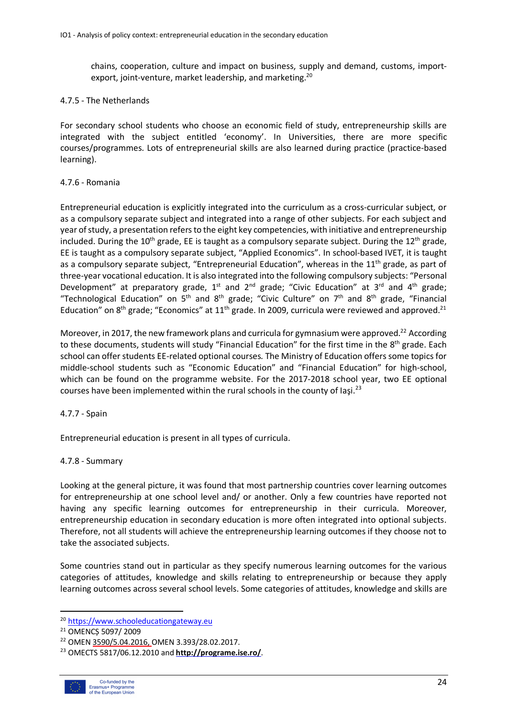chains, cooperation, culture and impact on business, supply and demand, customs, importexport, joint-venture, market leadership, and marketing.<sup>20</sup>

#### 4.7.5 - The Netherlands

For secondary school students who choose an economic field of study, entrepreneurship skills are integrated with the subject entitled 'economy'. In Universities, there are more specific courses/programmes. Lots of entrepreneurial skills are also learned during practice (practice-based learning).

#### 4.7.6 - Romania

Entrepreneurial education is explicitly integrated into the curriculum as a cross-curricular subject, or as a compulsory separate subject and integrated into a range of other subjects. For each subject and year of study, a presentation refers to the eight key competencies, with initiative and entrepreneurship included. During the 10<sup>th</sup> grade, EE is taught as a compulsory separate subject. During the 12<sup>th</sup> grade, EE is taught as a compulsory separate subject, "Applied Economics". In school-based IVET, it is taught as a compulsory separate subject, "Entrepreneurial Education", whereas in the  $11<sup>th</sup>$  grade, as part of three-year vocational education. It is also integrated into the following compulsory subjects: "Personal Development" at preparatory grade,  $1^{st}$  and  $2^{nd}$  grade; "Civic Education" at  $3^{rd}$  and  $4^{th}$  grade; "Technological Education" on  $5<sup>th</sup>$  and  $8<sup>th</sup>$  grade; "Civic Culture" on  $7<sup>th</sup>$  and  $8<sup>th</sup>$  grade, "Financial Education" on 8<sup>th</sup> grade; "Economics" at 11<sup>th</sup> grade. In 2009, curricula were reviewed and approved.<sup>21</sup>

Moreover, in 2017, the new framework plans and curricula for gymnasium were approved.<sup>22</sup> According to these documents, students will study "Financial Education" for the first time in the 8<sup>th</sup> grade. Each school can offer students EE-related optional courses*.* The Ministry of Education offers some topics for middle-school students such as "Economic Education" and "Financial Education" for high-school, which can be found on the programme website. For the 2017-2018 school year, two EE optional courses have been implemented within the rural schools in the county of laşi.<sup>23</sup>

#### 4.7.7 - Spain

Entrepreneurial education is present in all types of curricula.

#### 4.7.8 - Summary

Looking at the general picture, it was found that most partnership countries cover learning outcomes for entrepreneurship at one school level and/ or another. Only a few countries have reported not having any specific learning outcomes for entrepreneurship in their curricula. Moreover, entrepreneurship education in secondary education is more often integrated into optional subjects. Therefore, not all students will achieve the entrepreneurship learning outcomes if they choose not to take the associated subjects.

Some countries stand out in particular as they specify numerous learning outcomes for the various categories of attitudes, knowledge and skills relating to entrepreneurship or because they apply learning outcomes across several school levels. Some categories of attitudes, knowledge and skills are

<sup>23</sup> OMECTS 5817/06.12.2010 and **http://programe.ise.ro/**.



 <sup>20</sup> https://www.schooleducationgateway.eu

<sup>21</sup> OMENCȘ 5097/ 2009

<sup>22</sup> OMEN 3590/5.04.2016, OMEN 3.393/28.02.2017.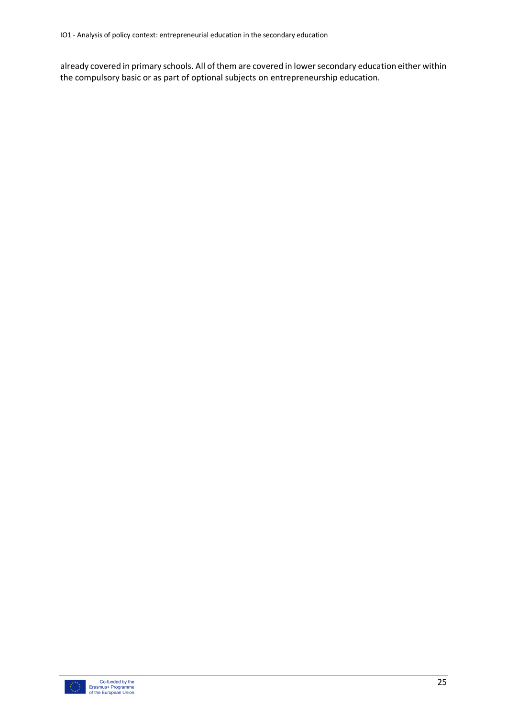already covered in primary schools. All of them are covered in lower secondary education either within the compulsory basic or as part of optional subjects on entrepreneurship education.

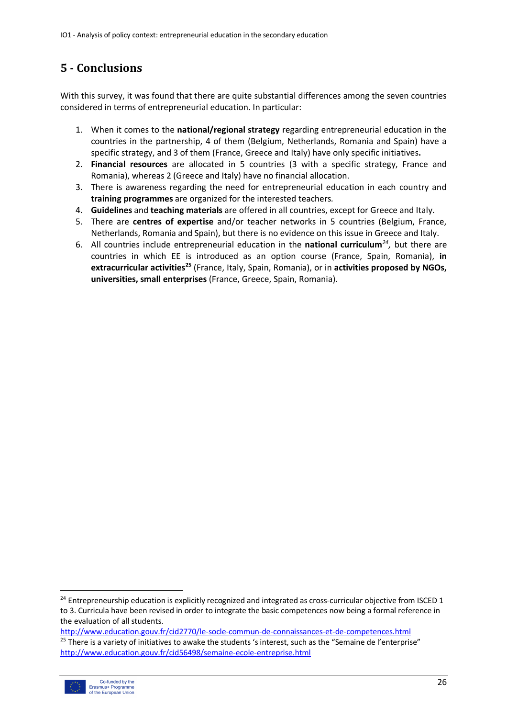# **5 - Conclusions**

With this survey, it was found that there are quite substantial differences among the seven countries considered in terms of entrepreneurial education. In particular:

- 1. When it comes to the **national/regional strategy** regarding entrepreneurial education in the countries in the partnership, 4 of them (Belgium, Netherlands, Romania and Spain) have a specific strategy, and 3 of them (France, Greece and Italy) have only specific initiatives**.**
- 2. **Financial resources** are allocated in 5 countries (3 with a specific strategy, France and Romania), whereas 2 (Greece and Italy) have no financial allocation.
- 3. There is awareness regarding the need for entrepreneurial education in each country and **training programmes** are organized for the interested teachers*.*
- 4. **Guidelines** and **teaching materials** are offered in all countries, except for Greece and Italy.
- 5. There are **centres of expertise** and/or teacher networks in 5 countries (Belgium, France, Netherlands, Romania and Spain), but there is no evidence on this issue in Greece and Italy.
- 6. All countries include entrepreneurial education in the **national curriculum***24,* but there are countries in which EE is introduced as an option course (France, Spain, Romania), **in extracurricular activities25** (France, Italy, Spain, Romania), or in **activities proposed by NGOs, universities, small enterprises** (France, Greece, Spain, Romania).

http://www.education.gouv.fr/cid2770/le-socle-commun-de-connaissances-et-de-competences.html <sup>25</sup> There is a variety of initiatives to awake the students 's interest, such as the "Semaine de l'enterprise" http://www.education.gouv.fr/cid56498/semaine-ecole-entreprise.html



 $24$  Entrepreneurship education is explicitly recognized and integrated as cross-curricular objective from ISCED 1 to 3. Curricula have been revised in order to integrate the basic competences now being a formal reference in the evaluation of all students.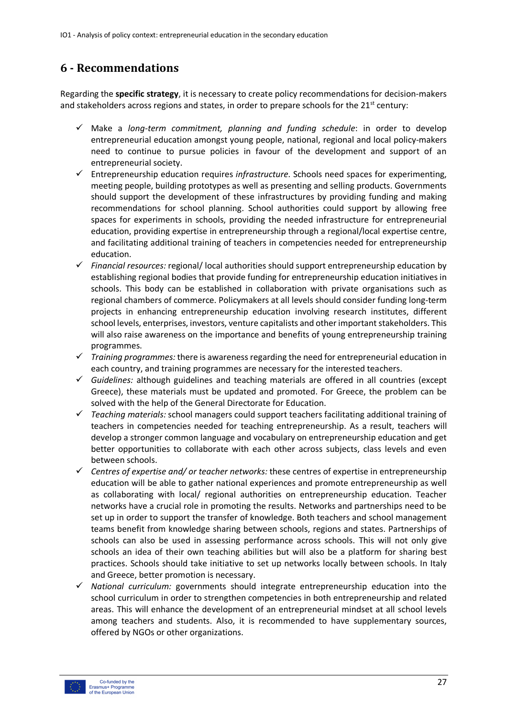# **6 - Recommendations**

Regarding the **specific strategy**, it is necessary to create policy recommendations for decision-makers and stakeholders across regions and states, in order to prepare schools for the  $21<sup>st</sup>$  century:

- $\checkmark$  Make a *long-term commitment, planning and funding schedule*: in order to develop entrepreneurial education amongst young people, national, regional and local policy-makers need to continue to pursue policies in favour of the development and support of an entrepreneurial society.
- $\checkmark$  Entrepreneurship education requires *infrastructure*. Schools need spaces for experimenting, meeting people, building prototypes as well as presenting and selling products. Governments should support the development of these infrastructures by providing funding and making recommendations for school planning. School authorities could support by allowing free spaces for experiments in schools, providing the needed infrastructure for entrepreneurial education, providing expertise in entrepreneurship through a regional/local expertise centre, and facilitating additional training of teachers in competencies needed for entrepreneurship education.
- $\checkmark$  Financial resources: regional/ local authorities should support entrepreneurship education by establishing regional bodies that provide funding for entrepreneurship education initiatives in schools. This body can be established in collaboration with private organisations such as regional chambers of commerce. Policymakers at all levels should consider funding long-term projects in enhancing entrepreneurship education involving research institutes, different school levels, enterprises, investors, venture capitalists and other important stakeholders. This will also raise awareness on the importance and benefits of young entrepreneurship training programmes.
- $\checkmark$  Training programmes: there is awareness regarding the need for entrepreneurial education in each country, and training programmes are necessary for the interested teachers.
- ü *Guidelines:* although guidelines and teaching materials are offered in all countries (except Greece), these materials must be updated and promoted. For Greece, the problem can be solved with the help of the General Directorate for Education.
- ü *Teaching materials:* school managers could support teachers facilitating additional training of teachers in competencies needed for teaching entrepreneurship. As a result, teachers will develop a stronger common language and vocabulary on entrepreneurship education and get better opportunities to collaborate with each other across subjects, class levels and even between schools.
- $\checkmark$  Centres of expertise and/ or teacher networks: these centres of expertise in entrepreneurship education will be able to gather national experiences and promote entrepreneurship as well as collaborating with local/ regional authorities on entrepreneurship education. Teacher networks have a crucial role in promoting the results. Networks and partnerships need to be set up in order to support the transfer of knowledge. Both teachers and school management teams benefit from knowledge sharing between schools, regions and states. Partnerships of schools can also be used in assessing performance across schools. This will not only give schools an idea of their own teaching abilities but will also be a platform for sharing best practices. Schools should take initiative to set up networks locally between schools. In Italy and Greece, better promotion is necessary.
- ü *National curriculum:* governments should integrate entrepreneurship education into the school curriculum in order to strengthen competencies in both entrepreneurship and related areas. This will enhance the development of an entrepreneurial mindset at all school levels among teachers and students. Also, it is recommended to have supplementary sources, offered by NGOs or other organizations.